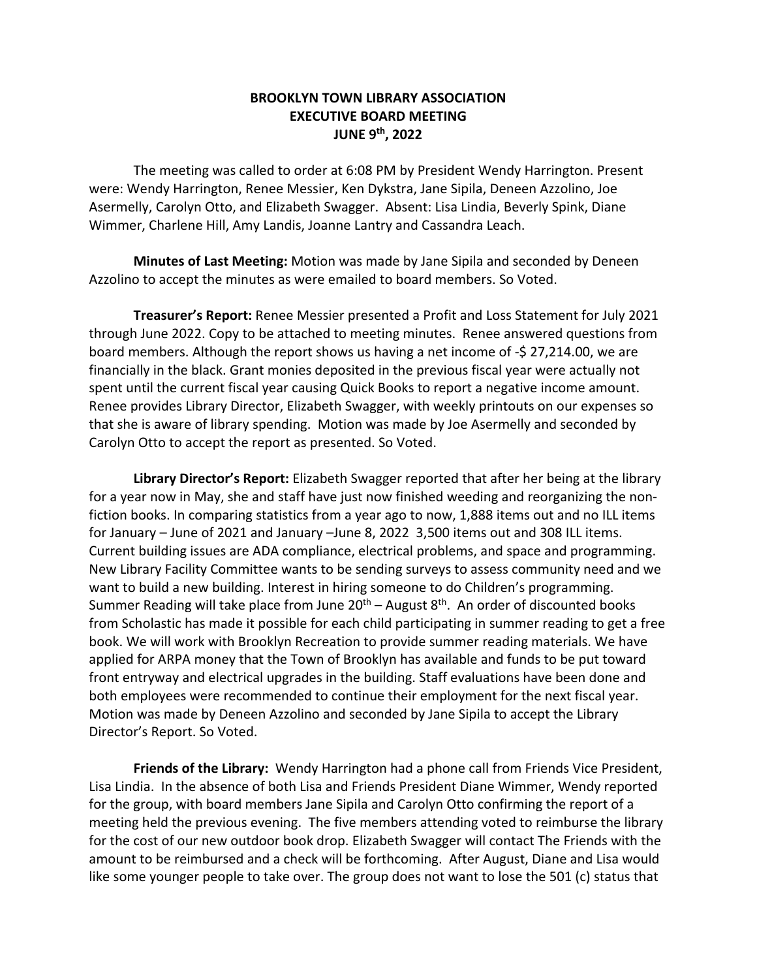## **BROOKLYN TOWN LIBRARY ASSOCIATION EXECUTIVE BOARD MEETING JUNE 9th, 2022**

The meeting was called to order at 6:08 PM by President Wendy Harrington. Present were: Wendy Harrington, Renee Messier, Ken Dykstra, Jane Sipila, Deneen Azzolino, Joe Asermelly, Carolyn Otto, and Elizabeth Swagger. Absent: Lisa Lindia, Beverly Spink, Diane Wimmer, Charlene Hill, Amy Landis, Joanne Lantry and Cassandra Leach.

**Minutes of Last Meeting:** Motion was made by Jane Sipila and seconded by Deneen Azzolino to accept the minutes as were emailed to board members. So Voted.

**Treasurer's Report:** Renee Messier presented a Profit and Loss Statement for July 2021 through June 2022. Copy to be attached to meeting minutes. Renee answered questions from board members. Although the report shows us having a net income of -\$ 27,214.00, we are financially in the black. Grant monies deposited in the previous fiscal year were actually not spent until the current fiscal year causing Quick Books to report a negative income amount. Renee provides Library Director, Elizabeth Swagger, with weekly printouts on our expenses so that she is aware of library spending. Motion was made by Joe Asermelly and seconded by Carolyn Otto to accept the report as presented. So Voted.

**Library Director's Report:** Elizabeth Swagger reported that after her being at the library for a year now in May, she and staff have just now finished weeding and reorganizing the nonfiction books. In comparing statistics from a year ago to now, 1,888 items out and no ILL items for January – June of 2021 and January –June 8, 2022 3,500 items out and 308 ILL items. Current building issues are ADA compliance, electrical problems, and space and programming. New Library Facility Committee wants to be sending surveys to assess community need and we want to build a new building. Interest in hiring someone to do Children's programming. Summer Reading will take place from June  $20<sup>th</sup>$  – August  $8<sup>th</sup>$ . An order of discounted books from Scholastic has made it possible for each child participating in summer reading to get a free book. We will work with Brooklyn Recreation to provide summer reading materials. We have applied for ARPA money that the Town of Brooklyn has available and funds to be put toward front entryway and electrical upgrades in the building. Staff evaluations have been done and both employees were recommended to continue their employment for the next fiscal year. Motion was made by Deneen Azzolino and seconded by Jane Sipila to accept the Library Director's Report. So Voted.

**Friends of the Library:** Wendy Harrington had a phone call from Friends Vice President, Lisa Lindia. In the absence of both Lisa and Friends President Diane Wimmer, Wendy reported for the group, with board members Jane Sipila and Carolyn Otto confirming the report of a meeting held the previous evening. The five members attending voted to reimburse the library for the cost of our new outdoor book drop. Elizabeth Swagger will contact The Friends with the amount to be reimbursed and a check will be forthcoming. After August, Diane and Lisa would like some younger people to take over. The group does not want to lose the 501 (c) status that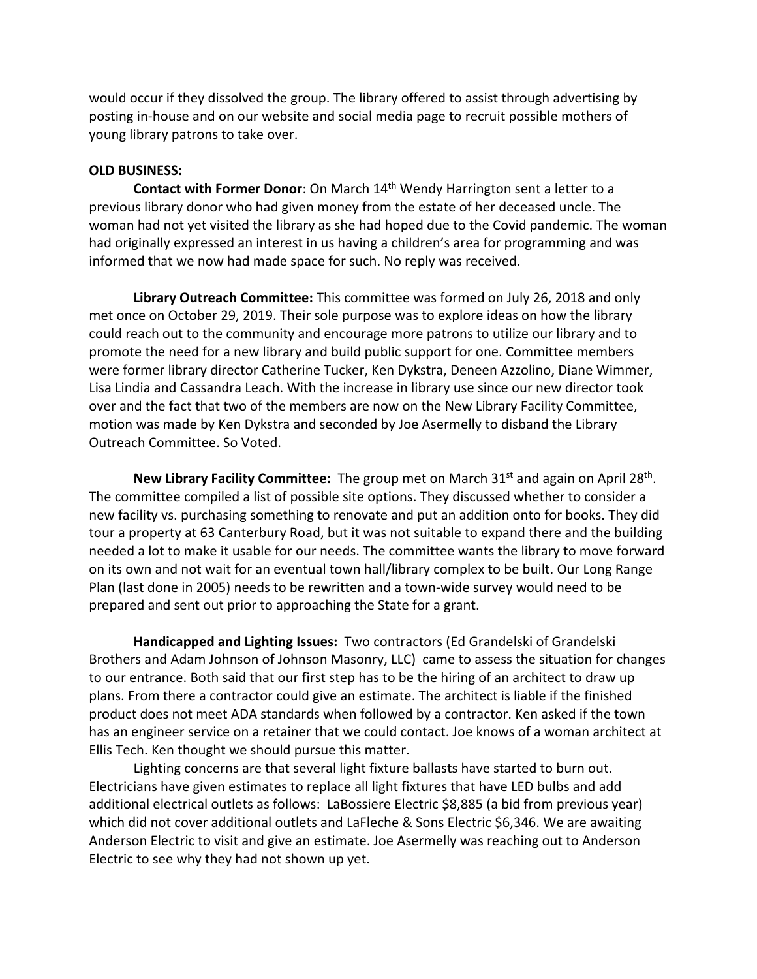would occur if they dissolved the group. The library offered to assist through advertising by posting in-house and on our website and social media page to recruit possible mothers of young library patrons to take over.

## **OLD BUSINESS:**

**Contact with Former Donor:** On March 14<sup>th</sup> Wendy Harrington sent a letter to a previous library donor who had given money from the estate of her deceased uncle. The woman had not yet visited the library as she had hoped due to the Covid pandemic. The woman had originally expressed an interest in us having a children's area for programming and was informed that we now had made space for such. No reply was received.

**Library Outreach Committee:** This committee was formed on July 26, 2018 and only met once on October 29, 2019. Their sole purpose was to explore ideas on how the library could reach out to the community and encourage more patrons to utilize our library and to promote the need for a new library and build public support for one. Committee members were former library director Catherine Tucker, Ken Dykstra, Deneen Azzolino, Diane Wimmer, Lisa Lindia and Cassandra Leach. With the increase in library use since our new director took over and the fact that two of the members are now on the New Library Facility Committee, motion was made by Ken Dykstra and seconded by Joe Asermelly to disband the Library Outreach Committee. So Voted.

**New Library Facility Committee:** The group met on March 31<sup>st</sup> and again on April 28<sup>th</sup>. The committee compiled a list of possible site options. They discussed whether to consider a new facility vs. purchasing something to renovate and put an addition onto for books. They did tour a property at 63 Canterbury Road, but it was not suitable to expand there and the building needed a lot to make it usable for our needs. The committee wants the library to move forward on its own and not wait for an eventual town hall/library complex to be built. Our Long Range Plan (last done in 2005) needs to be rewritten and a town-wide survey would need to be prepared and sent out prior to approaching the State for a grant.

**Handicapped and Lighting Issues:** Two contractors (Ed Grandelski of Grandelski Brothers and Adam Johnson of Johnson Masonry, LLC) came to assess the situation for changes to our entrance. Both said that our first step has to be the hiring of an architect to draw up plans. From there a contractor could give an estimate. The architect is liable if the finished product does not meet ADA standards when followed by a contractor. Ken asked if the town has an engineer service on a retainer that we could contact. Joe knows of a woman architect at Ellis Tech. Ken thought we should pursue this matter.

Lighting concerns are that several light fixture ballasts have started to burn out. Electricians have given estimates to replace all light fixtures that have LED bulbs and add additional electrical outlets as follows: LaBossiere Electric \$8,885 (a bid from previous year) which did not cover additional outlets and LaFleche & Sons Electric \$6,346. We are awaiting Anderson Electric to visit and give an estimate. Joe Asermelly was reaching out to Anderson Electric to see why they had not shown up yet.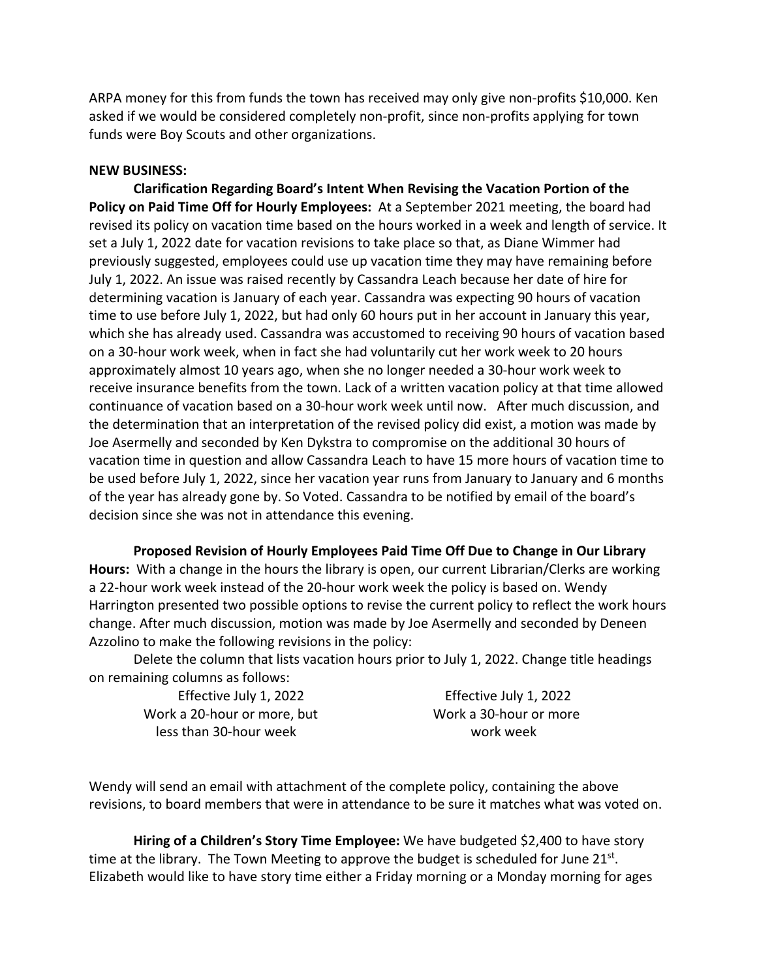ARPA money for this from funds the town has received may only give non-profits \$10,000. Ken asked if we would be considered completely non-profit, since non-profits applying for town funds were Boy Scouts and other organizations.

## **NEW BUSINESS:**

**Clarification Regarding Board's Intent When Revising the Vacation Portion of the Policy on Paid Time Off for Hourly Employees:** At a September 2021 meeting, the board had revised its policy on vacation time based on the hours worked in a week and length of service. It set a July 1, 2022 date for vacation revisions to take place so that, as Diane Wimmer had previously suggested, employees could use up vacation time they may have remaining before July 1, 2022. An issue was raised recently by Cassandra Leach because her date of hire for determining vacation is January of each year. Cassandra was expecting 90 hours of vacation time to use before July 1, 2022, but had only 60 hours put in her account in January this year, which she has already used. Cassandra was accustomed to receiving 90 hours of vacation based on a 30-hour work week, when in fact she had voluntarily cut her work week to 20 hours approximately almost 10 years ago, when she no longer needed a 30-hour work week to receive insurance benefits from the town. Lack of a written vacation policy at that time allowed continuance of vacation based on a 30-hour work week until now. After much discussion, and the determination that an interpretation of the revised policy did exist, a motion was made by Joe Asermelly and seconded by Ken Dykstra to compromise on the additional 30 hours of vacation time in question and allow Cassandra Leach to have 15 more hours of vacation time to be used before July 1, 2022, since her vacation year runs from January to January and 6 months of the year has already gone by. So Voted. Cassandra to be notified by email of the board's decision since she was not in attendance this evening.

**Proposed Revision of Hourly Employees Paid Time Off Due to Change in Our Library Hours:** With a change in the hours the library is open, our current Librarian/Clerks are working a 22-hour work week instead of the 20-hour work week the policy is based on. Wendy Harrington presented two possible options to revise the current policy to reflect the work hours change. After much discussion, motion was made by Joe Asermelly and seconded by Deneen Azzolino to make the following revisions in the policy:

Delete the column that lists vacation hours prior to July 1, 2022. Change title headings on remaining columns as follows:

Effective July 1, 2022 Effective July 1, 2022 Work a 20-hour or more, but Work a 30-hour or more less than 30-hour week work week

Wendy will send an email with attachment of the complete policy, containing the above revisions, to board members that were in attendance to be sure it matches what was voted on.

**Hiring of a Children's Story Time Employee:** We have budgeted \$2,400 to have story time at the library. The Town Meeting to approve the budget is scheduled for June  $21^{st}$ . Elizabeth would like to have story time either a Friday morning or a Monday morning for ages